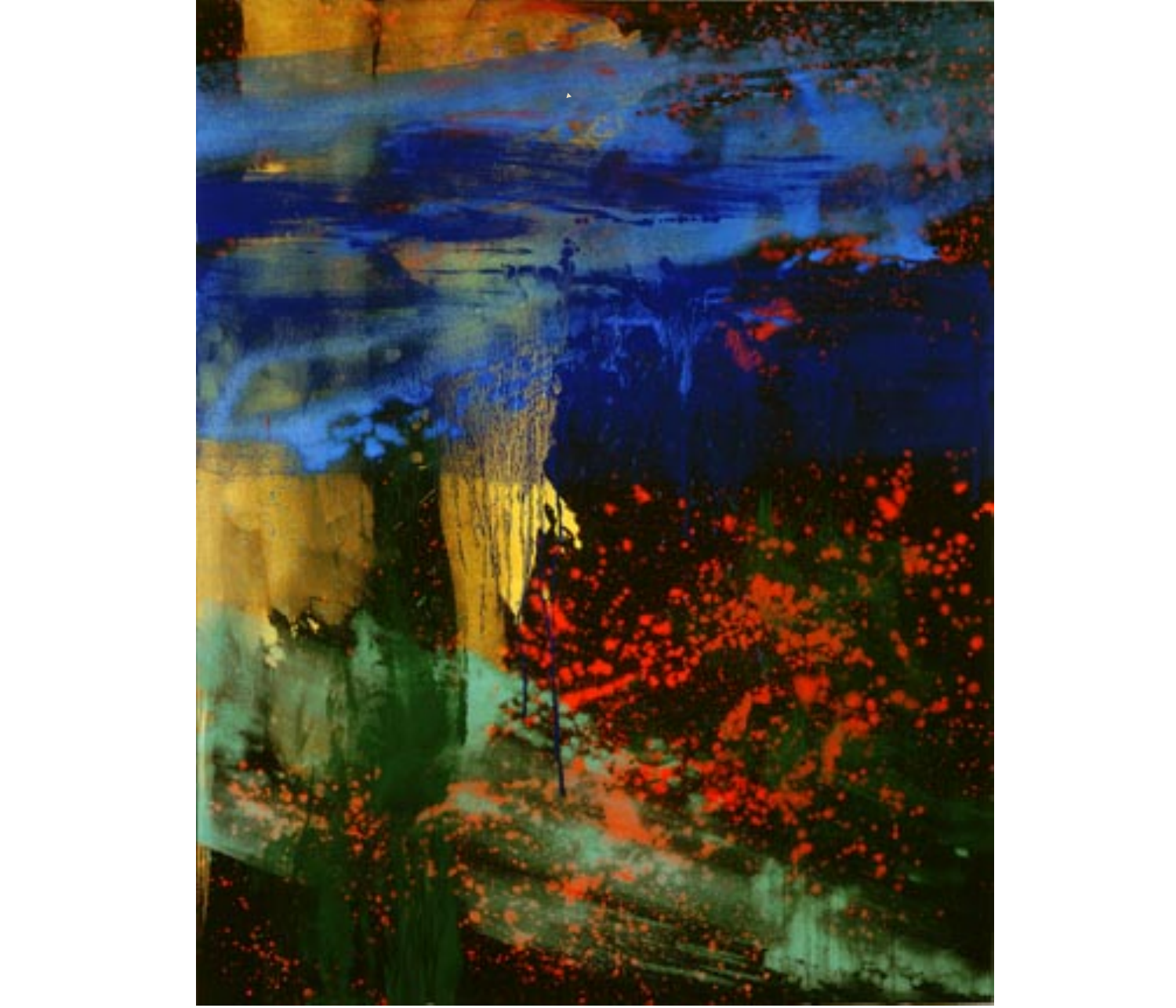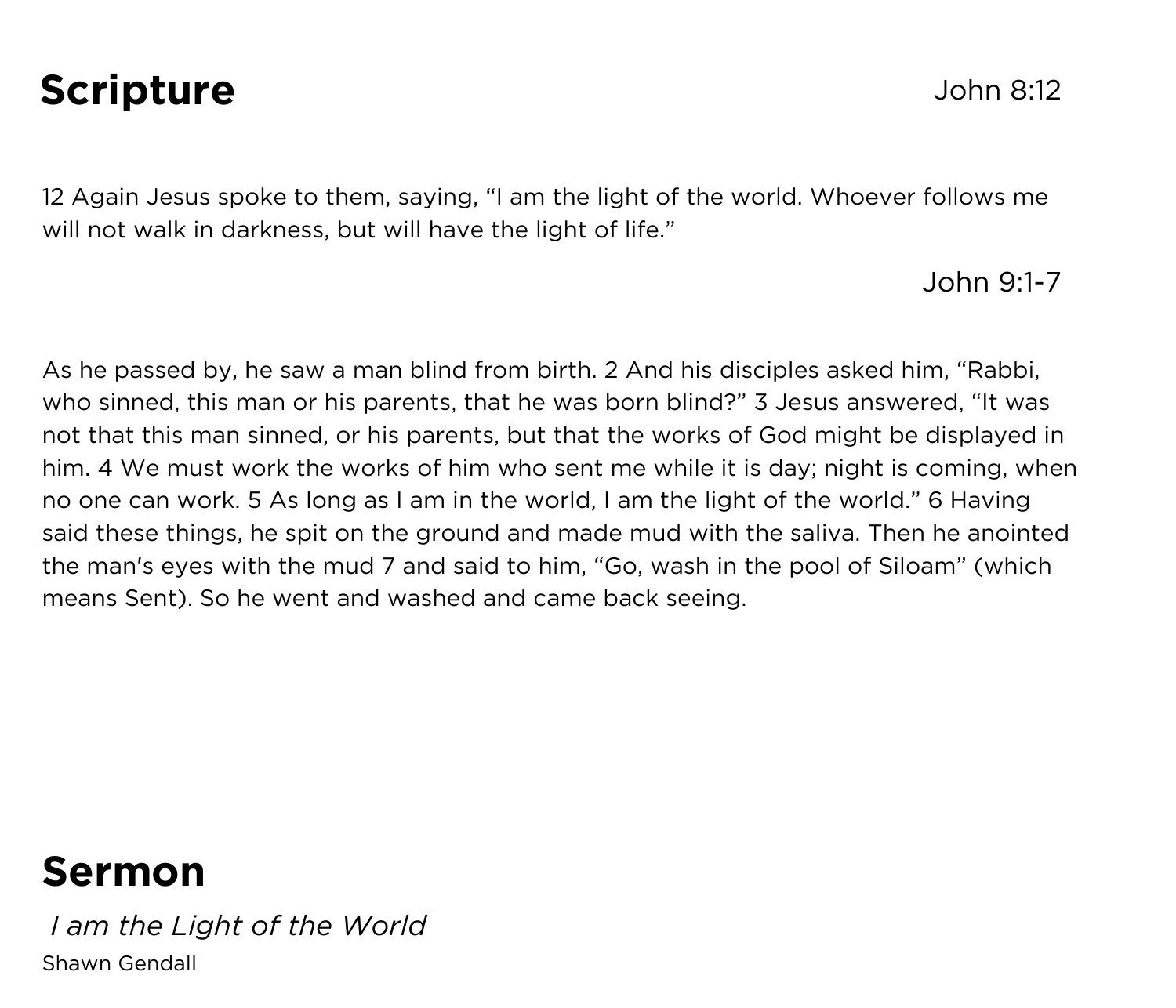# **Scripture** John 8:12

12 Again Jesus spoke to them, saying, "I am the light of the world. Whoever follows me will not walk in darkness, but will have the light of life."

John 9:1-7

As he passed by, he saw a man blind from birth. 2 And his disciples asked him, "Rabbi, who sinned, this man or his parents, that he was born blind?" 3 Jesus answered, "It was not that this man sinned, or his parents, but that the works of God might be displayed in him. 4 We must work the works of him who sent me while it is day; night is coming, when no one can work. 5 As long as I am in the world, I am the light of the world." 6 Having said these things, he spit on the ground and made mud with the saliva. Then he anointed the man's eyes with the mud 7 and said to him, "Go, wash in the pool of Siloam" (which means Sent). So he went and washed and came back seeing.

### **Sermon**

 *I am the Light of the World* Shawn Gendall